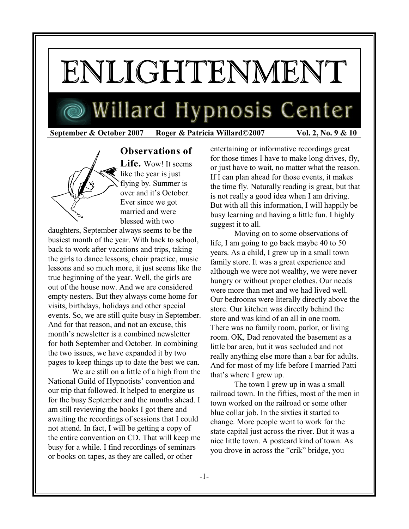# ENLIGHTENMENT

## Willard Hypnosis Center

 **September & October 2007 Roger & Patricia Willard©2007 Vol. 2, No. 9 & 10**



**Observations of Life.** Wow! It seems like the year is just flying by. Summer is over and it's October. Ever since we got married and were blessed with two

daughters, September always seems to be the busiest month of the year. With back to school, back to work after vacations and trips, taking the girls to dance lessons, choir practice, music lessons and so much more, it just seems like the true beginning of the year. Well, the girls are out of the house now. And we are considered empty nesters. But they always come home for visits, birthdays, holidays and other special events. So, we are still quite busy in September. And for that reason, and not an excuse, this month's newsletter is a combined newsletter for both September and October. In combining the two issues, we have expanded it by two pages to keep things up to date the best we can.

We are still on a little of a high from the National Guild of Hypnotists' convention and our trip that followed. It helped to energize us for the busy September and the months ahead. I am still reviewing the books I got there and awaiting the recordings of sessions that I could not attend. In fact, I will be getting a copy of the entire convention on CD. That will keep me busy for a while. I find recordings of seminars or books on tapes, as they are called, or other

entertaining or informative recordings great for those times I have to make long drives, fly, or just have to wait, no matter what the reason. If I can plan ahead for those events, it makes the time fly. Naturally reading is great, but that is not really a good idea when I am driving. But with all this information, I will happily be busy learning and having a little fun. I highly suggest it to all.

Moving on to some observations of life, I am going to go back maybe 40 to 50 years. As a child, I grew up in a small town family store. It was a great experience and although we were not wealthy, we were never hungry or without proper clothes. Our needs were more than met and we had lived well. Our bedrooms were literally directly above the store. Our kitchen was directly behind the store and was kind of an all in one room. There was no family room, parlor, or living room. OK, Dad renovated the basement as a little bar area, but it was secluded and not really anything else more than a bar for adults. And for most of my life before I married Patti that's where I grew up.

The town I grew up in was a small railroad town. In the fifties, most of the men in town worked on the railroad or some other blue collar job. In the sixties it started to change. More people went to work for the state capital just across the river. But it was a nice little town. A postcard kind of town. As you drove in across the "crik" bridge, you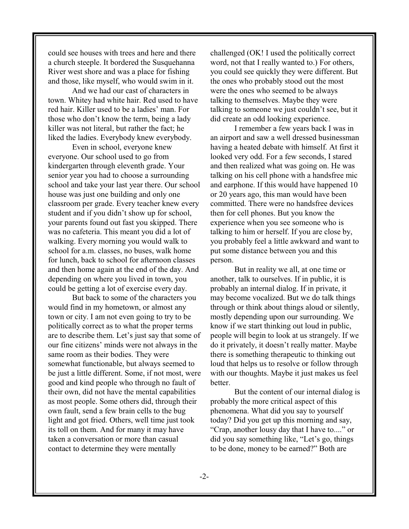could see houses with trees and here and there a church steeple. It bordered the Susquehanna River west shore and was a place for fishing and those, like myself, who would swim in it.

And we had our cast of characters in town. Whitey had white hair. Red used to have red hair. Killer used to be a ladies' man. For those who don't know the term, being a lady killer was not literal, but rather the fact; he liked the ladies. Everybody knew everybody.

Even in school, everyone knew everyone. Our school used to go from kindergarten through eleventh grade. Your senior year you had to choose a surrounding school and take your last year there. Our school house was just one building and only one classroom per grade. Every teacher knew every student and if you didn't show up for school, your parents found out fast you skipped. There was no cafeteria. This meant you did a lot of walking. Every morning you would walk to school for a.m. classes, no buses, walk home for lunch, back to school for afternoon classes and then home again at the end of the day. And depending on where you lived in town, you could be getting a lot of exercise every day.

But back to some of the characters you would find in my hometown, or almost any town or city. I am not even going to try to be politically correct as to what the proper terms are to describe them. Let's just say that some of our fine citizens' minds were not always in the same room as their bodies. They were somewhat functionable, but always seemed to be just a little different. Some, if not most, were good and kind people who through no fault of their own, did not have the mental capabilities as most people. Some others did, through their own fault, send a few brain cells to the bug light and got fried. Others, well time just took its toll on them. And for many it may have taken a conversation or more than casual contact to determine they were mentally

challenged (OK! I used the politically correct word, not that I really wanted to.) For others, you could see quickly they were different. But the ones who probably stood out the most were the ones who seemed to be always talking to themselves. Maybe they were talking to someone we just couldn't see, but it did create an odd looking experience.

I remember a few years back I was in an airport and saw a well dressed businessman having a heated debate with himself. At first it looked very odd. For a few seconds, I stared and then realized what was going on. He was talking on his cell phone with a handsfree mic and earphone. If this would have happened 10 or 20 years ago, this man would have been committed. There were no handsfree devices then for cell phones. But you know the experience when you see someone who is talking to him or herself. If you are close by, you probably feel a little awkward and want to put some distance between you and this person.

But in reality we all, at one time or another, talk to ourselves. If in public, it is probably an internal dialog. If in private, it may become vocalized. But we do talk things through or think about things aloud or silently, mostly depending upon our surrounding. We know if we start thinking out loud in public, people will begin to look at us strangely. If we do it privately, it doesn't really matter. Maybe there is something therapeutic to thinking out loud that helps us to resolve or follow through with our thoughts. Maybe it just makes us feel better.

But the content of our internal dialog is probably the more critical aspect of this phenomena. What did you say to yourself today? Did you get up this morning and say, "Crap, another lousy day that I have to...." or did you say something like, "Let's go, things to be done, money to be earned?" Both are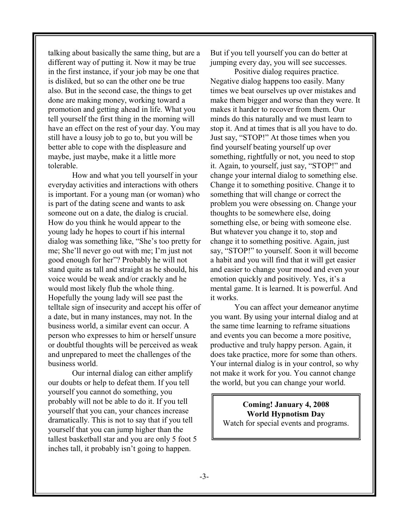talking about basically the same thing, but are a different way of putting it. Now it may be true in the first instance, if your job may be one that is disliked, but so can the other one be true also. But in the second case, the things to get done are making money, working toward a promotion and getting ahead in life. What you tell yourself the first thing in the morning will have an effect on the rest of your day. You may still have a lousy job to go to, but you will be better able to cope with the displeasure and maybe, just maybe, make it a little more tolerable.

How and what you tell yourself in your everyday activities and interactions with others is important. For a young man (or woman) who is part of the dating scene and wants to ask someone out on a date, the dialog is crucial. How do you think he would appear to the young lady he hopes to court if his internal dialog was something like, "She's too pretty for me; She'll never go out with me; I'm just not good enough for her"? Probably he will not stand quite as tall and straight as he should, his voice would be weak and/or crackly and he would most likely flub the whole thing. Hopefully the young lady will see past the telltale sign of insecurity and accept his offer of a date, but in many instances, may not. In the business world, a similar event can occur. A person who expresses to him or herself unsure or doubtful thoughts will be perceived as weak and unprepared to meet the challenges of the business world.

Our internal dialog can either amplify our doubts or help to defeat them. If you tell yourself you cannot do something, you probably will not be able to do it. If you tell yourself that you can, your chances increase dramatically. This is not to say that if you tell yourself that you can jump higher than the tallest basketball star and you are only 5 foot 5 inches tall, it probably isn't going to happen.

But if you tell yourself you can do better at jumping every day, you will see successes.

Positive dialog requires practice. Negative dialog happens too easily. Many times we beat ourselves up over mistakes and make them bigger and worse than they were. It makes it harder to recover from them. Our minds do this naturally and we must learn to stop it. And at times that is all you have to do. Just say, "STOP!" At those times when you find yourself beating yourself up over something, rightfully or not, you need to stop it. Again, to yourself, just say, "STOP!" and change your internal dialog to something else. Change it to something positive. Change it to something that will change or correct the problem you were obsessing on. Change your thoughts to be somewhere else, doing something else, or being with someone else. But whatever you change it to, stop and change it to something positive. Again, just say, "STOP!" to yourself. Soon it will become a habit and you will find that it will get easier and easier to change your mood and even your emotion quickly and positively. Yes, it's a mental game. It is learned. It is powerful. And it works.

You can affect your demeanor anytime you want. By using your internal dialog and at the same time learning to reframe situations and events you can become a more positive, productive and truly happy person. Again, it does take practice, more for some than others. Your internal dialog is in your control, so why not make it work for you. You cannot change the world, but you can change your world.

**Coming! January 4, 2008 World Hypnotism Day** Watch for special events and programs.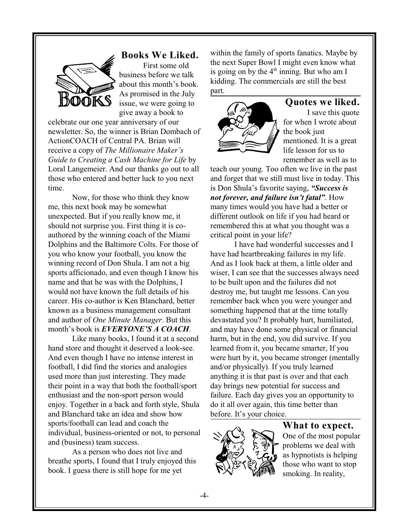

#### **Books We Liked.**

First some old business before we talk about this month's book. As promised in the July issue, we were going to give away a book to

celebrate our one year anniversary of our newsletter. So, the winner is Brian Dombach of ActionCOACH of Central PA. Brian will receive a copy of *The Millionaire Maker's Guide to Creating a Cash Machine for Life* by Loral Langemeier. And our thanks go out to all those who entered and better luck to you next time.

Now, for those who think they know me, this next book may be somewhat unexpected. But if you really know me, it should not surprise you. First thing it is coauthored by the winning coach of the Miami Dolphins and the Baltimore Colts. For those of you who know your football, you know the winning record of Don Shula. I am not a big sports afficionado, and even though I know his name and that he was with the Dolphins, I would not have known the full details of his career. His co-author is Ken Blanchard, better known as a business management consultant and author of *One Minute Manager*. But this month's book is *EVERYONE'S A COACH*.

Like many books, I found it at a second hand store and thought it deserved a look-see. And even though I have no intense interest in football, I did find the stories and analogies used more than just interesting. They made their point in a way that both the football/sport enthusiast and the non-sport person would enjoy. Together in a back and forth style, Shula and Blanchard take an idea and show how sports/football can lead and coach the individual, business-oriented or not, to personal and (business) team success.

As a person who does not live and breathe sports, I found that I truly enjoyed this book. I guess there is still hope for me yet

within the family of sports fanatics. Maybe by the next Super Bowl I might even know what is going on by the  $4<sup>th</sup>$  inning. But who am I kidding. The commercials are still the best part.



### **Quotes we liked.**

I save this quote for when I wrote about the book just mentioned. It is a great life lesson for us to remember as well as to

teach our young. Too often we live in the past and forget that we still must live in today. This is Don Shula's favorite saying, *"Success is not forever, and failure isn't fatal"*. How many times would you have had a better or different outlook on life if you had heard or remembered this at what you thought was a critical point in your life?

I have had wonderful successes and I have had heartbreaking failures in my life. And as I look back at them, a little older and wiser, I can see that the successes always need to be built upon and the failures did not destroy me, but taught me lessons. Can you remember back when you were younger and something happened that at the time totally devastated you? It probably hurt, humiliated, and may have done some physical or financial harm, but in the end, you did survive. If you learned from it, you became smarter, If you were hurt by it, you became stronger (mentally and/or physically). If you truly learned anything it is that past is over and that each day brings new potential for success and failure. Each day gives you an opportunity to do it all over again, this time better than before. It's your choice.



#### **What to expect.**

One of the most popular problems we deal with as hypnotists is helping those who want to stop smoking. In reality,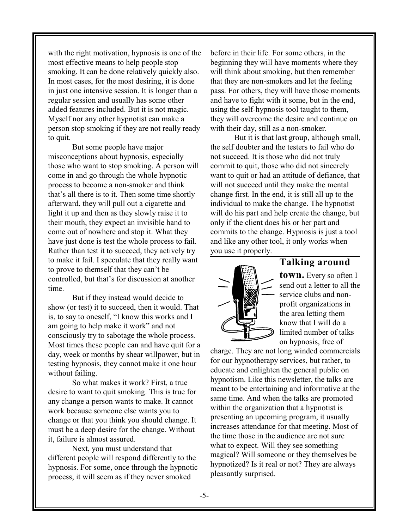with the right motivation, hypnosis is one of the most effective means to help people stop smoking. It can be done relatively quickly also. In most cases, for the most desiring, it is done in just one intensive session. It is longer than a regular session and usually has some other added features included. But it is not magic. Myself nor any other hypnotist can make a person stop smoking if they are not really ready to quit.

But some people have major misconceptions about hypnosis, especially those who want to stop smoking. A person will come in and go through the whole hypnotic process to become a non-smoker and think that's all there is to it. Then some time shortly afterward, they will pull out a cigarette and light it up and then as they slowly raise it to their mouth, they expect an invisible hand to come out of nowhere and stop it. What they have just done is test the whole process to fail. Rather than test it to succeed, they actively try to make it fail. I speculate that they really want to prove to themself that they can't be controlled, but that's for discussion at another time.

But if they instead would decide to show (or test) it to succeed, then it would. That is, to say to oneself, "I know this works and I am going to help make it work" and not consciously try to sabotage the whole process. Most times these people can and have quit for a day, week or months by shear willpower, but in testing hypnosis, they cannot make it one hour without failing.

So what makes it work? First, a true desire to want to quit smoking. This is true for any change a person wants to make. It cannot work because someone else wants you to change or that you think you should change. It must be a deep desire for the change. Without it, failure is almost assured.

Next, you must understand that different people will respond differently to the hypnosis. For some, once through the hypnotic process, it will seem as if they never smoked

before in their life. For some others, in the beginning they will have moments where they will think about smoking, but then remember that they are non-smokers and let the feeling pass. For others, they will have those moments and have to fight with it some, but in the end, using the self-hypnosis tool taught to them, they will overcome the desire and continue on with their day, still as a non-smoker.

But it is that last group, although small, the self doubter and the testers to fail who do not succeed. It is those who did not truly commit to quit, those who did not sincerely want to quit or had an attitude of defiance, that will not succeed until they make the mental change first. In the end, it is still all up to the individual to make the change. The hypnotist will do his part and help create the change, but only if the client does his or her part and commits to the change. Hypnosis is just a tool and like any other tool, it only works when you use it properly.



#### **Talking around**

**town.** Every so often I send out a letter to all the service clubs and nonprofit organizations in the area letting them know that I will do a limited number of talks on hypnosis, free of

charge. They are not long winded commercials for our hypnotherapy services, but rather, to educate and enlighten the general public on hypnotism. Like this newsletter, the talks are meant to be entertaining and informative at the same time. And when the talks are promoted within the organization that a hypnotist is presenting an upcoming program, it usually increases attendance for that meeting. Most of the time those in the audience are not sure what to expect. Will they see something magical? Will someone or they themselves be hypnotized? Is it real or not? They are always pleasantly surprised.